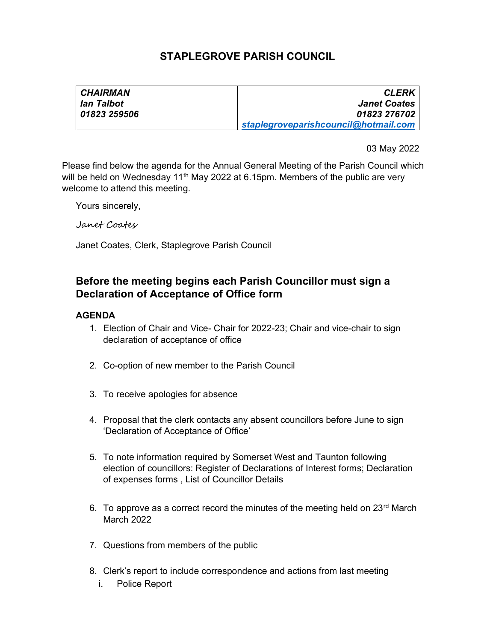## STAPLEGROVE PARISH COUNCIL

| <b>CHAIRMAN</b> | <b>CLERK</b>                         |
|-----------------|--------------------------------------|
| lan Talbot      | <b>Janet Coates</b>                  |
| 01823 259506    | 01823 276702                         |
|                 | staplegroveparishcouncil@hotmail.com |

03 May 2022

Please find below the agenda for the Annual General Meeting of the Parish Council which will be held on Wednesday 11<sup>th</sup> May 2022 at 6.15pm. Members of the public are very welcome to attend this meeting.

Yours sincerely,

Janet Coates

Janet Coates, Clerk, Staplegrove Parish Council

## Before the meeting begins each Parish Councillor must sign a Declaration of Acceptance of Office form

## AGENDA

- 1. Election of Chair and Vice- Chair for 2022-23; Chair and vice-chair to sign declaration of acceptance of office
- 2. Co-option of new member to the Parish Council
- 3. To receive apologies for absence
- 4. Proposal that the clerk contacts any absent councillors before June to sign 'Declaration of Acceptance of Office'
- 5. To note information required by Somerset West and Taunton following election of councillors: Register of Declarations of Interest forms; Declaration of expenses forms , List of Councillor Details
- 6. To approve as a correct record the minutes of the meeting held on  $23<sup>rd</sup>$  March March 2022
- 7. Questions from members of the public
- 8. Clerk's report to include correspondence and actions from last meeting
	- i. Police Report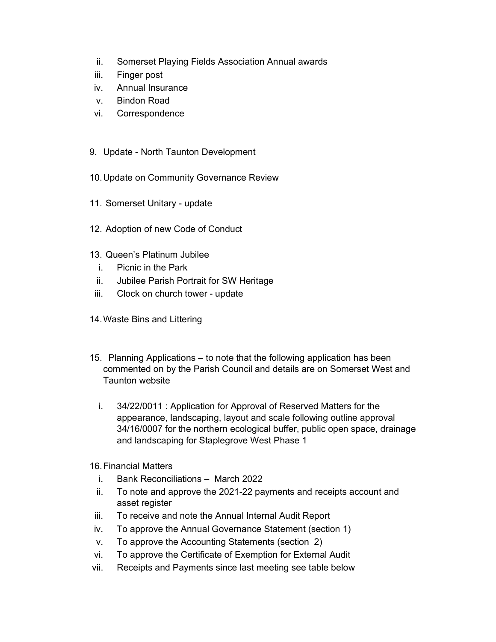- ii. Somerset Playing Fields Association Annual awards
- iii. Finger post
- iv. Annual Insurance
- v. Bindon Road
- vi. Correspondence
- 9. Update North Taunton Development
- 10. Update on Community Governance Review
- 11. Somerset Unitary update
- 12. Adoption of new Code of Conduct
- 13. Queen's Platinum Jubilee
	- i. Picnic in the Park
	- ii. Jubilee Parish Portrait for SW Heritage
- iii. Clock on church tower update
- 14. Waste Bins and Littering
- 15. Planning Applications to note that the following application has been commented on by the Parish Council and details are on Somerset West and Taunton website
	- i. 34/22/0011 : Application for Approval of Reserved Matters for the appearance, landscaping, layout and scale following outline approval 34/16/0007 for the northern ecological buffer, public open space, drainage and landscaping for Staplegrove West Phase 1
- 16. Financial Matters
	- i. Bank Reconciliations March 2022
	- ii. To note and approve the 2021-22 payments and receipts account and asset register
- iii. To receive and note the Annual Internal Audit Report
- iv. To approve the Annual Governance Statement (section 1)
- v. To approve the Accounting Statements (section 2)
- vi. To approve the Certificate of Exemption for External Audit
- vii. Receipts and Payments since last meeting see table below